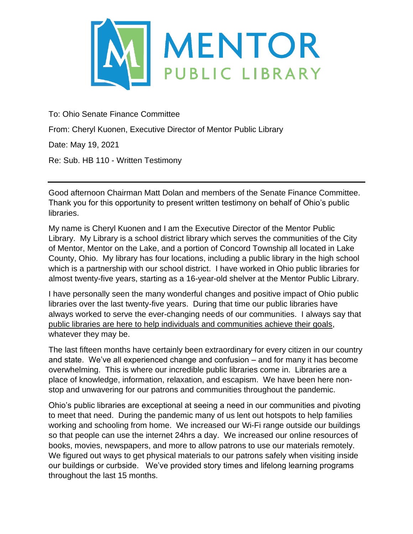

To: Ohio Senate Finance Committee

From: Cheryl Kuonen, Executive Director of Mentor Public Library

Date: May 19, 2021

Re: Sub. HB 110 - Written Testimony

Good afternoon Chairman Matt Dolan and members of the Senate Finance Committee. Thank you for this opportunity to present written testimony on behalf of Ohio's public libraries.

My name is Cheryl Kuonen and I am the Executive Director of the Mentor Public Library. My Library is a school district library which serves the communities of the City of Mentor, Mentor on the Lake, and a portion of Concord Township all located in Lake County, Ohio. My library has four locations, including a public library in the high school which is a partnership with our school district. I have worked in Ohio public libraries for almost twenty-five years, starting as a 16-year-old shelver at the Mentor Public Library.

I have personally seen the many wonderful changes and positive impact of Ohio public libraries over the last twenty-five years. During that time our public libraries have always worked to serve the ever-changing needs of our communities. I always say that public libraries are here to help individuals and communities achieve their goals, whatever they may be.

The last fifteen months have certainly been extraordinary for every citizen in our country and state. We've all experienced change and confusion – and for many it has become overwhelming. This is where our incredible public libraries come in. Libraries are a place of knowledge, information, relaxation, and escapism. We have been here nonstop and unwavering for our patrons and communities throughout the pandemic.

Ohio's public libraries are exceptional at seeing a need in our communities and pivoting to meet that need. During the pandemic many of us lent out hotspots to help families working and schooling from home. We increased our Wi-Fi range outside our buildings so that people can use the internet 24hrs a day. We increased our online resources of books, movies, newspapers, and more to allow patrons to use our materials remotely. We figured out ways to get physical materials to our patrons safely when visiting inside our buildings or curbside. We've provided story times and lifelong learning programs throughout the last 15 months.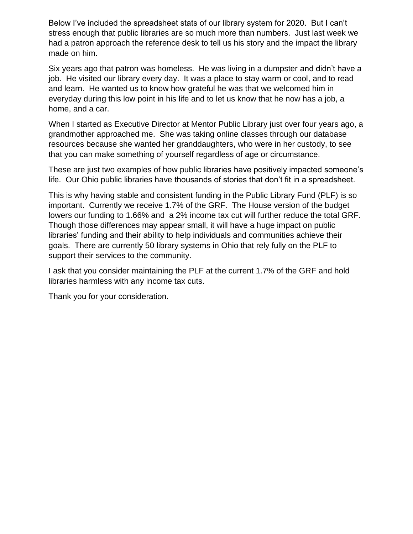Below I've included the spreadsheet stats of our library system for 2020. But I can't stress enough that public libraries are so much more than numbers. Just last week we had a patron approach the reference desk to tell us his story and the impact the library made on him.

Six years ago that patron was homeless. He was living in a dumpster and didn't have a job. He visited our library every day. It was a place to stay warm or cool, and to read and learn. He wanted us to know how grateful he was that we welcomed him in everyday during this low point in his life and to let us know that he now has a job, a home, and a car.

When I started as Executive Director at Mentor Public Library just over four years ago, a grandmother approached me. She was taking online classes through our database resources because she wanted her granddaughters, who were in her custody, to see that you can make something of yourself regardless of age or circumstance.

These are just two examples of how public libraries have positively impacted someone's life. Our Ohio public libraries have thousands of stories that don't fit in a spreadsheet.

This is why having stable and consistent funding in the Public Library Fund (PLF) is so important. Currently we receive 1.7% of the GRF. The House version of the budget lowers our funding to 1.66% and a 2% income tax cut will further reduce the total GRF. Though those differences may appear small, it will have a huge impact on public libraries' funding and their ability to help individuals and communities achieve their goals. There are currently 50 library systems in Ohio that rely fully on the PLF to support their services to the community.

I ask that you consider maintaining the PLF at the current 1.7% of the GRF and hold libraries harmless with any income tax cuts.

Thank you for your consideration.